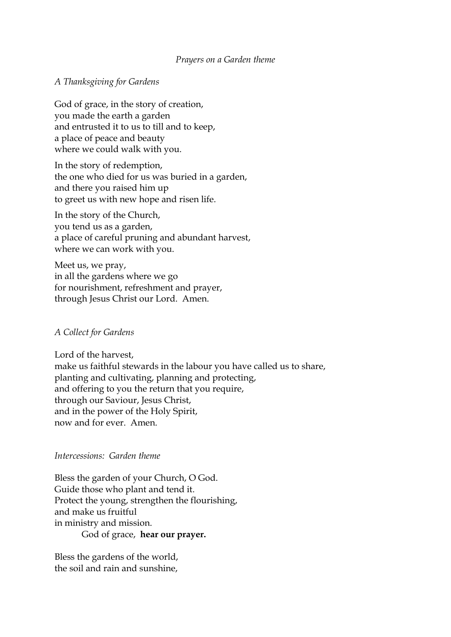## *Prayers on a Garden theme*

## *A Thanksgiving for Gardens*

God of grace, in the story of creation, you made the earth a garden and entrusted it to us to till and to keep, a place of peace and beauty where we could walk with you.

In the story of redemption, the one who died for us was buried in a garden, and there you raised him up to greet us with new hope and risen life.

In the story of the Church, you tend us as a garden, a place of careful pruning and abundant harvest, where we can work with you.

Meet us, we pray, in all the gardens where we go for nourishment, refreshment and prayer, through Jesus Christ our Lord. Amen.

## *A Collect for Gardens*

Lord of the harvest, make us faithful stewards in the labour you have called us to share, planting and cultivating, planning and protecting, and offering to you the return that you require, through our Saviour, Jesus Christ, and in the power of the Holy Spirit, now and for ever. Amen.

## *Intercessions: Garden theme*

Bless the garden of your Church, O God. Guide those who plant and tend it. Protect the young, strengthen the flourishing, and make us fruitful in ministry and mission. God of grace, **hear our prayer.**

Bless the gardens of the world, the soil and rain and sunshine,